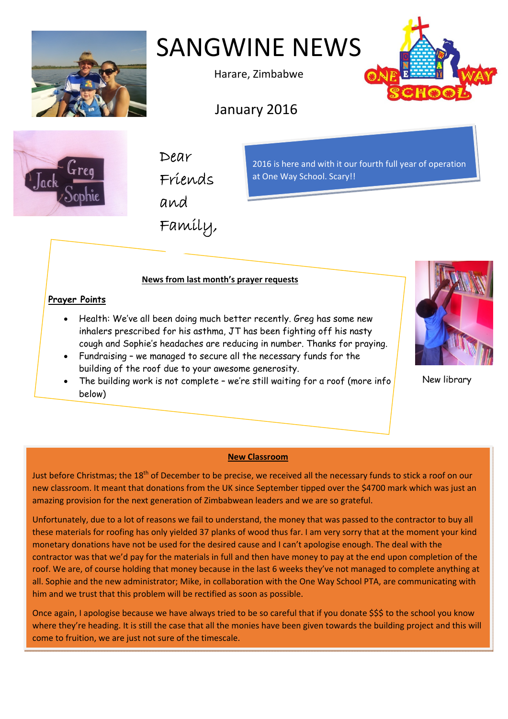

SANGWINE NEWS

Harare, Zimbabwe

January 2016





Dear Friends

and

Family,

2016 is here and with it our fourth full year of operation at One Way School. Scary!!

# **News from last month's prayer requests**

## **Prayer Points**

- Health: We've all been doing much better recently. Greg has some new inhalers prescribed for his asthma, JT has been fighting off his nasty cough and Sophie's headaches are reducing in number. Thanks for praying.
- Fundraising we managed to secure all the necessary funds for the building of the roof due to your awesome generosity.
- The building work is not complete we're still waiting for a roof (more info below)



New library

## **New Classroom**

Just before Christmas; the 18<sup>th</sup> of December to be precise, we received all the necessary funds to stick a roof on our new classroom. It meant that donations from the UK since September tipped over the \$4700 mark which was just an amazing provision for the next generation of Zimbabwean leaders and we are so grateful.

Unfortunately, due to a lot of reasons we fail to understand, the money that was passed to the contractor to buy all these materials for roofing has only yielded 37 planks of wood thus far. I am very sorry that at the moment your kind monetary donations have not be used for the desired cause and I can't apologise enough. The deal with the contractor was that we'd pay for the materials in full and then have money to pay at the end upon completion of the roof. We are, of course holding that money because in the last 6 weeks they've not managed to complete anything at all. Sophie and the new administrator; Mike, in collaboration with the One Way School PTA, are communicating with him and we trust that this problem will be rectified as soon as possible.

Once again, I apologise because we have always tried to be so careful that if you donate \$\$\$ to the school you know where they're heading. It is still the case that all the monies have been given towards the building project and this will come to fruition, we are just not sure of the timescale.